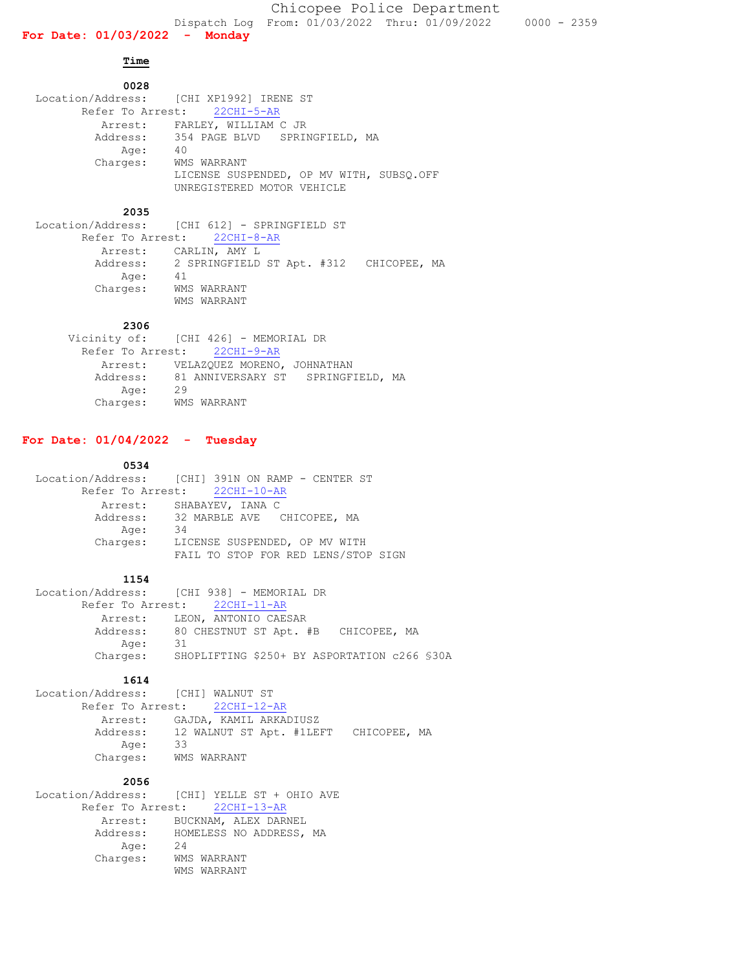**Time** 

## **0028** Location/Address: [CHI XP1992] IRENE ST Refer To Arrest: 22CHI-5-AR Arrest: FARLEY, WILLIAM C JR Address: 354 PAGE BLVD SPRINGFIELD, MA<br>Age: 40 Age: Charges: WMS WARRANT LICENSE SUSPENDED, OP MV WITH, SUBSQ.OFF UNREGISTERED MOTOR VEHICLE

#### **2035**

 Location/Address: [CHI 612] - SPRINGFIELD ST Refer To Arrest: 22CHI-8-AR Arrest: CARLIN, AMY L Address: 2 SPRINGFIELD ST Apt. #312 CHICOPEE, MA<br>Age: 41 Age: Charges: WMS WARRANT WMS WARRANT

### **2306**

|          | Vicinity of: [CHI 426] - MEMORIAL DR       |
|----------|--------------------------------------------|
|          | Refer To Arrest: 22CHI-9-AR                |
|          | Arrest: VELAZQUEZ MORENO, JOHNATHAN        |
|          | Address: 81 ANNIVERSARY ST SPRINGFIELD, MA |
| Age:     | 29                                         |
| Charges: | WMS WARRANT                                |

### **For Date: 01/04/2022 - Tuesday**

#### **0534**

|          | Location/Address: [CHI] 391N ON RAMP - CENTER ST |
|----------|--------------------------------------------------|
|          | Refer To Arrest: 22CHI-10-AR                     |
|          | Arrest: SHABAYEV, IANA C                         |
|          | Address: 32 MARBLE AVE CHICOPEE, MA              |
| Age:     | -34                                              |
| Charges: | LICENSE SUSPENDED, OP MV WITH                    |
|          | FAIL TO STOP FOR RED LENS/STOP SIGN              |

#### **1154**

|      | Location/Address: [CHI 938] - MEMORIAL DR             |
|------|-------------------------------------------------------|
|      | Refer To Arrest: 22CHI-11-AR                          |
|      | Arrest: LEON, ANTONIO CAESAR                          |
|      | Address: 80 CHESTNUT ST Apt. #B CHICOPEE, MA          |
| Aqe: | - 31                                                  |
|      | Charges: SHOPLIFTING \$250+ BY ASPORTATION c266 \$30A |

# **1614**

 Location/Address: [CHI] WALNUT ST Refer To Arrest: 22CHI-12-AR Arrest: GAJDA, KAMIL ARKADIUSZ Address: 12 WALNUT ST Apt. #1LEFT CHICOPEE, MA Age: 33 Charges: WMS WARRANT

# **2056**

| Location/Address: [CHI] YELLE ST + OHIO AVE |             |                         |
|---------------------------------------------|-------------|-------------------------|
| Refer To Arrest: 22CHI-13-AR                |             |                         |
| Arrest:                                     |             | BUCKNAM, ALEX DARNEL    |
| Address:                                    |             | HOMELESS NO ADDRESS, MA |
| Age:                                        | 24          |                         |
| Charges:                                    | WMS WARRANT |                         |
|                                             | WMS WARRANT |                         |